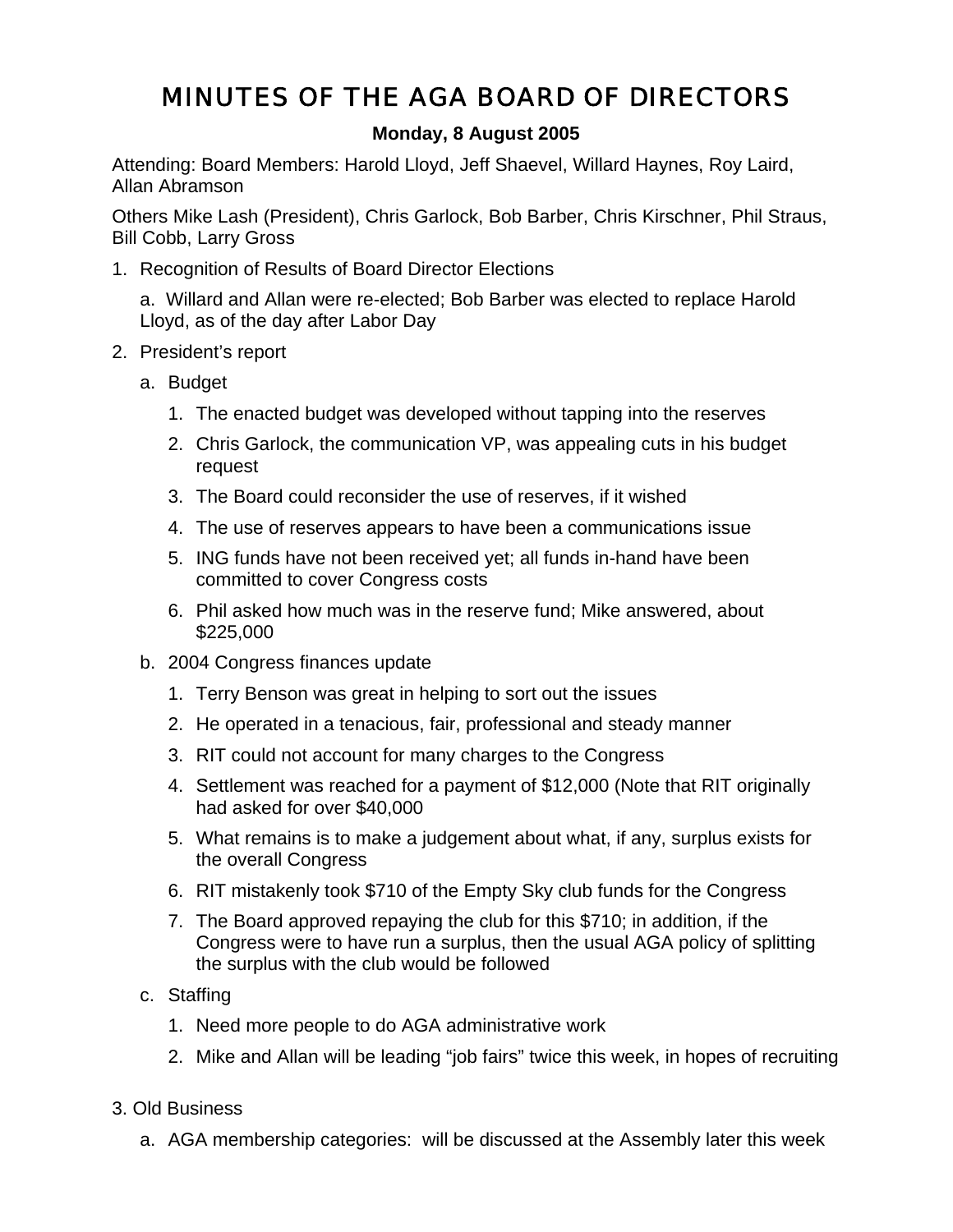## MINUTES OF THE AGA BOARD OF DIRECTORS

## **Monday, 8 August 2005**

Attending: Board Members: Harold Lloyd, Jeff Shaevel, Willard Haynes, Roy Laird, Allan Abramson

Others Mike Lash (President), Chris Garlock, Bob Barber, Chris Kirschner, Phil Straus, Bill Cobb, Larry Gross

1. Recognition of Results of Board Director Elections

a. Willard and Allan were re-elected; Bob Barber was elected to replace Harold Lloyd, as of the day after Labor Day

- 2. President's report
	- a. Budget
		- 1. The enacted budget was developed without tapping into the reserves
		- 2. Chris Garlock, the communication VP, was appealing cuts in his budget request
		- 3. The Board could reconsider the use of reserves, if it wished
		- 4. The use of reserves appears to have been a communications issue
		- 5. ING funds have not been received yet; all funds in-hand have been committed to cover Congress costs
		- 6. Phil asked how much was in the reserve fund; Mike answered, about \$225,000
	- b. 2004 Congress finances update
		- 1. Terry Benson was great in helping to sort out the issues
		- 2. He operated in a tenacious, fair, professional and steady manner
		- 3. RIT could not account for many charges to the Congress
		- 4. Settlement was reached for a payment of \$12,000 (Note that RIT originally had asked for over \$40,000
		- 5. What remains is to make a judgement about what, if any, surplus exists for the overall Congress
		- 6. RIT mistakenly took \$710 of the Empty Sky club funds for the Congress
		- 7. The Board approved repaying the club for this \$710; in addition, if the Congress were to have run a surplus, then the usual AGA policy of splitting the surplus with the club would be followed
	- c. Staffing
		- 1. Need more people to do AGA administrative work
		- 2. Mike and Allan will be leading "job fairs" twice this week, in hopes of recruiting
- 3. Old Business
	- a. AGA membership categories: will be discussed at the Assembly later this week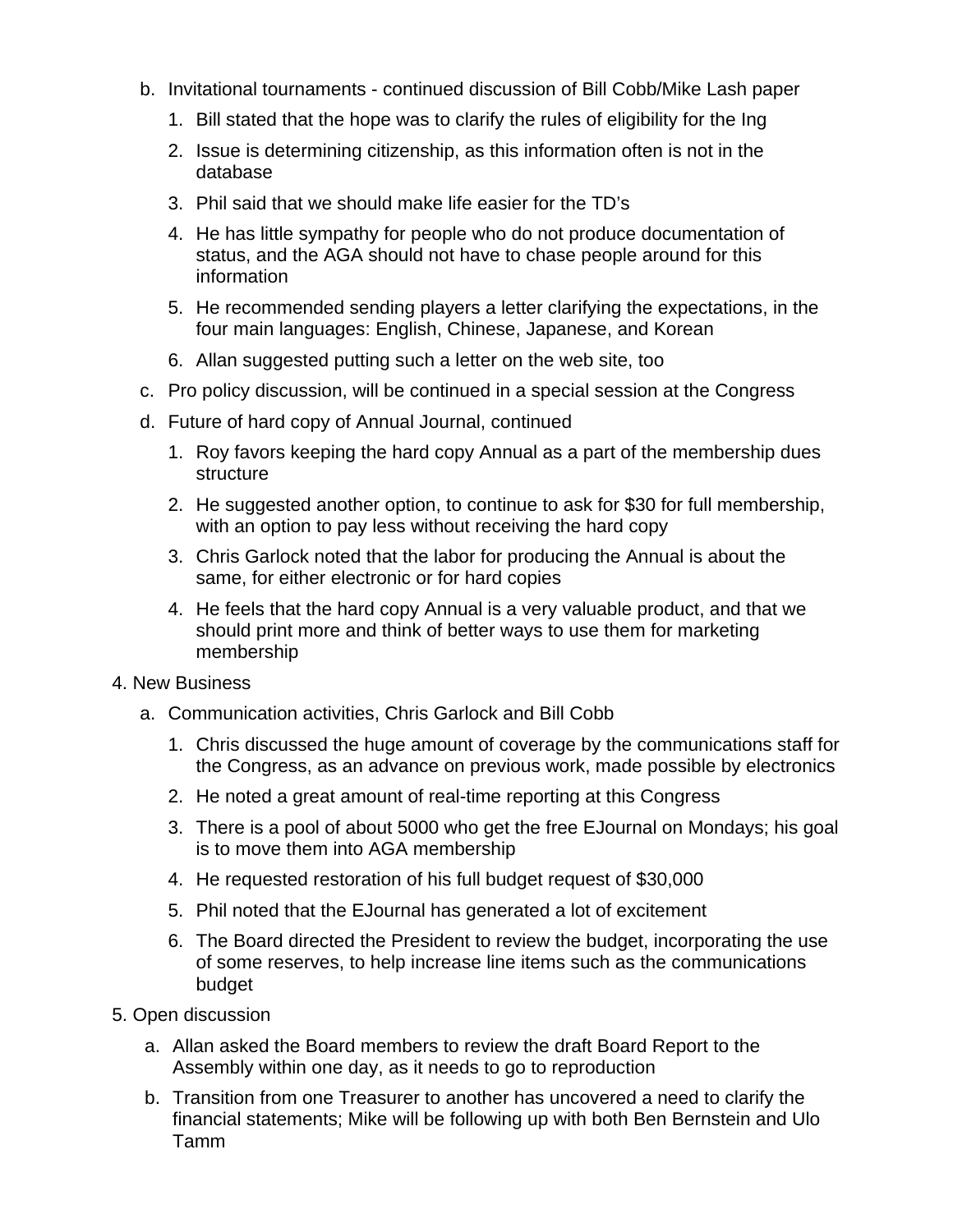- b. Invitational tournaments continued discussion of Bill Cobb/Mike Lash paper
	- 1. Bill stated that the hope was to clarify the rules of eligibility for the Ing
	- 2. Issue is determining citizenship, as this information often is not in the database
	- 3. Phil said that we should make life easier for the TD's
	- 4. He has little sympathy for people who do not produce documentation of status, and the AGA should not have to chase people around for this information
	- 5. He recommended sending players a letter clarifying the expectations, in the four main languages: English, Chinese, Japanese, and Korean
	- 6. Allan suggested putting such a letter on the web site, too
- c. Pro policy discussion, will be continued in a special session at the Congress
- d. Future of hard copy of Annual Journal, continued
	- 1. Roy favors keeping the hard copy Annual as a part of the membership dues structure
	- 2. He suggested another option, to continue to ask for \$30 for full membership, with an option to pay less without receiving the hard copy
	- 3. Chris Garlock noted that the labor for producing the Annual is about the same, for either electronic or for hard copies
	- 4. He feels that the hard copy Annual is a very valuable product, and that we should print more and think of better ways to use them for marketing membership
- 4. New Business
	- a. Communication activities, Chris Garlock and Bill Cobb
		- 1. Chris discussed the huge amount of coverage by the communications staff for the Congress, as an advance on previous work, made possible by electronics
		- 2. He noted a great amount of real-time reporting at this Congress
		- 3. There is a pool of about 5000 who get the free EJournal on Mondays; his goal is to move them into AGA membership
		- 4. He requested restoration of his full budget request of \$30,000
		- 5. Phil noted that the EJournal has generated a lot of excitement
		- 6. The Board directed the President to review the budget, incorporating the use of some reserves, to help increase line items such as the communications budget
- 5. Open discussion
	- a. Allan asked the Board members to review the draft Board Report to the Assembly within one day, as it needs to go to reproduction
	- b. Transition from one Treasurer to another has uncovered a need to clarify the financial statements; Mike will be following up with both Ben Bernstein and Ulo Tamm